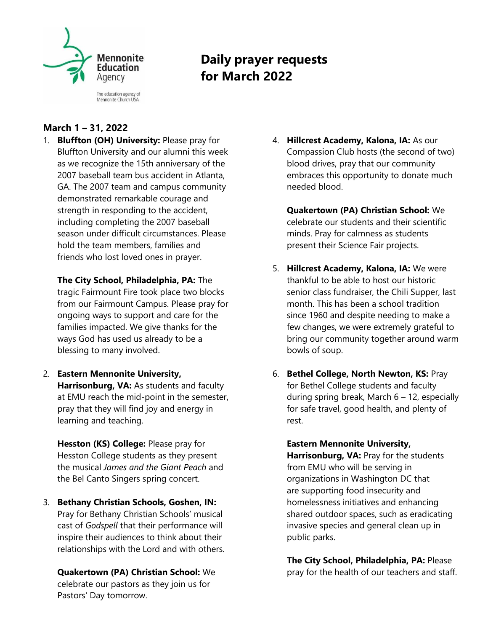

**Daily prayer requests for March 2022**

# **March 1 – 31, 2022**

1. **Bluffton (OH) University:** Please pray for Bluffton University and our alumni this week as we recognize the 15th anniversary of the 2007 baseball team bus accident in Atlanta, GA. The 2007 team and campus community demonstrated remarkable courage and strength in responding to the accident, including completing the 2007 baseball season under difficult circumstances. Please hold the team members, families and friends who lost loved ones in prayer.

**The City School, Philadelphia, PA:** The tragic Fairmount Fire took place two blocks from our Fairmount Campus. Please pray for ongoing ways to support and care for the families impacted. We give thanks for the ways God has used us already to be a blessing to many involved.

2. **Eastern Mennonite University, Harrisonburg, VA:** As students and faculty at EMU reach the mid-point in the semester, pray that they will find joy and energy in learning and teaching.

**Hesston (KS) College:** Please pray for Hesston College students as they present the musical *James and the Giant Peach* and the Bel Canto Singers spring concert.

3. **Bethany Christian Schools, Goshen, IN:**  Pray for Bethany Christian Schools' musical cast of *Godspell* that their performance will inspire their audiences to think about their relationships with the Lord and with others.

**Quakertown (PA) Christian School:** We celebrate our pastors as they join us for Pastors' Day tomorrow.

- 4. **Hillcrest Academy, Kalona, IA:** As our Compassion Club hosts (the second of two) blood drives, pray that our community embraces this opportunity to donate much needed blood.
	- **Quakertown (PA) Christian School:** We celebrate our students and their scientific minds. Pray for calmness as students present their Science Fair projects.
- 5. **Hillcrest Academy, Kalona, IA:** We were thankful to be able to host our historic senior class fundraiser, the Chili Supper, last month. This has been a school tradition since 1960 and despite needing to make a few changes, we were extremely grateful to bring our community together around warm bowls of soup.
- 6. **Bethel College, North Newton, KS:** Pray for Bethel College students and faculty during spring break, March  $6 - 12$ , especially for safe travel, good health, and plenty of rest.

**Eastern Mennonite University, Harrisonburg, VA:** Pray for the students from EMU who will be serving in organizations in Washington DC that are supporting food insecurity and homelessness initiatives and enhancing shared outdoor spaces, such as eradicating invasive species and general clean up in public parks.

**The City School, Philadelphia, PA:** Please pray for the health of our teachers and staff.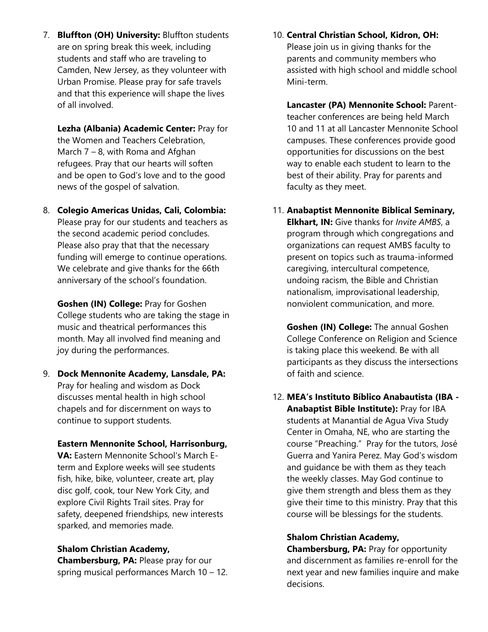7. **Bluffton (OH) University:** Bluffton students are on spring break this week, including students and staff who are traveling to Camden, New Jersey, as they volunteer with Urban Promise. Please pray for safe travels and that this experience will shape the lives of all involved.

**Lezha (Albania) Academic Center:** Pray for the Women and Teachers Celebration, March 7 – 8, with Roma and Afghan refugees. Pray that our hearts will soften and be open to God's love and to the good news of the gospel of salvation.

8. **Colegio Americas Unidas, Cali, Colombia:**  Please pray for our students and teachers as the second academic period concludes. Please also pray that that the necessary funding will emerge to continue operations. We celebrate and give thanks for the 66th anniversary of the school's foundation.

**Goshen (IN) College:** Pray for Goshen College students who are taking the stage in music and theatrical performances this month. May all involved find meaning and joy during the performances.

9. **Dock Mennonite Academy, Lansdale, PA:**  Pray for healing and wisdom as Dock discusses mental health in high school chapels and for discernment on ways to continue to support students.

#### **Eastern Mennonite School, Harrisonburg,**

**VA:** Eastern Mennonite School's March Eterm and Explore weeks will see students fish, hike, bike, volunteer, create art, play disc golf, cook, tour New York City, and explore Civil Rights Trail sites. Pray for safety, deepened friendships, new interests sparked, and memories made.

### **Shalom Christian Academy,**

**Chambersburg, PA:** Please pray for our spring musical performances March 10 – 12. 10. **Central Christian School, Kidron, OH:**  Please join us in giving thanks for the parents and community members who assisted with high school and middle school Mini-term.

**Lancaster (PA) Mennonite School:** Parentteacher conferences are being held March 10 and 11 at all Lancaster Mennonite School campuses. These conferences provide good opportunities for discussions on the best way to enable each student to learn to the best of their ability. Pray for parents and faculty as they meet.

11. **Anabaptist Mennonite Biblical Seminary, Elkhart, IN:** Give thanks for *Invite AMBS*, a program through which congregations and organizations can request AMBS faculty to present on topics such as trauma-informed caregiving, intercultural competence, undoing racism, the Bible and Christian nationalism, improvisational leadership, nonviolent communication, and more.

**Goshen (IN) College:** The annual Goshen College Conference on Religion and Science is taking place this weekend. Be with all participants as they discuss the intersections of faith and science.

12. **MEA's Instituto Bíblico Anabautista (IBA - Anabaptist Bible Institute):** Pray for IBA students at Manantial de Agua Viva Study Center in Omaha, NE, who are starting the course "Preaching." Pray for the tutors, José Guerra and Yanira Perez. May God's wisdom and guidance be with them as they teach the weekly classes. May God continue to give them strength and bless them as they give their time to this ministry. Pray that this course will be blessings for the students.

#### **Shalom Christian Academy,**

**Chambersburg, PA:** Pray for opportunity and discernment as families re-enroll for the next year and new families inquire and make decisions.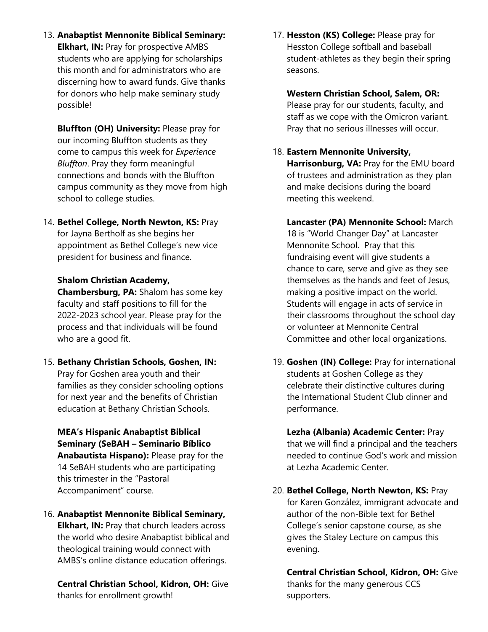13. **Anabaptist Mennonite Biblical Seminary: Elkhart, IN:** Pray for prospective AMBS students who are applying for scholarships this month and for administrators who are discerning how to award funds. Give thanks for donors who help make seminary study possible!

**Bluffton (OH) University:** Please pray for our incoming Bluffton students as they come to campus this week for *Experience Bluffton*. Pray they form meaningful connections and bonds with the Bluffton campus community as they move from high school to college studies.

14. **Bethel College, North Newton, KS:** Pray for Jayna Bertholf as she begins her appointment as Bethel College's new vice president for business and finance.

#### **Shalom Christian Academy,**

**Chambersburg, PA:** Shalom has some key faculty and staff positions to fill for the 2022-2023 school year. Please pray for the process and that individuals will be found who are a good fit.

15. **Bethany Christian Schools, Goshen, IN:**  Pray for Goshen area youth and their families as they consider schooling options for next year and the benefits of Christian education at Bethany Christian Schools.

**MEA's Hispanic Anabaptist Biblical Seminary (SeBAH – Seminario Bíblico Anabautista Hispano):** Please pray for the 14 SeBAH students who are participating this trimester in the "Pastoral Accompaniment" course.

16. **Anabaptist Mennonite Biblical Seminary, Elkhart, IN: Pray that church leaders across** the world who desire Anabaptist biblical and theological training would connect with AMBS's online distance education offerings.

**Central Christian School, Kidron, OH:** Give thanks for enrollment growth!

17. **Hesston (KS) College:** Please pray for Hesston College softball and baseball student-athletes as they begin their spring seasons.

**Western Christian School, Salem, OR:**  Please pray for our students, faculty, and staff as we cope with the Omicron variant. Pray that no serious illnesses will occur.

### 18. **Eastern Mennonite University,**

**Harrisonburg, VA: Pray for the EMU board** of trustees and administration as they plan and make decisions during the board meeting this weekend.

- **Lancaster (PA) Mennonite School:** March 18 is "World Changer Day" at Lancaster Mennonite School. Pray that this fundraising event will give students a chance to care, serve and give as they see themselves as the hands and feet of Jesus, making a positive impact on the world. Students will engage in acts of service in their classrooms throughout the school day or volunteer at Mennonite Central Committee and other local organizations.
- 19. **Goshen (IN) College:** Pray for international students at Goshen College as they celebrate their distinctive cultures during the International Student Club dinner and performance.

**Lezha (Albania) Academic Center:** Pray that we will find a principal and the teachers needed to continue God's work and mission at Lezha Academic Center.

20. **Bethel College, North Newton, KS:** Pray for Karen González, immigrant advocate and author of the non-Bible text for Bethel College's senior capstone course, as she gives the Staley Lecture on campus this evening.

**Central Christian School, Kidron, OH:** Give thanks for the many generous CCS supporters.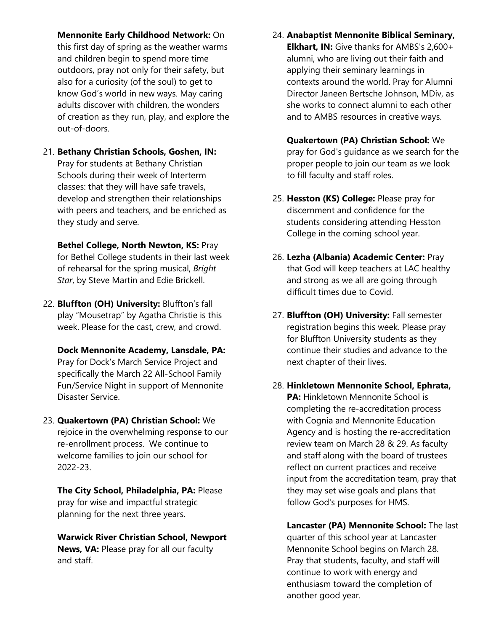**Mennonite Early Childhood Network:** On this first day of spring as the weather warms and children begin to spend more time outdoors, pray not only for their safety, but also for a curiosity (of the soul) to get to know God's world in new ways. May caring adults discover with children, the wonders of creation as they run, play, and explore the out-of-doors.

21. **Bethany Christian Schools, Goshen, IN:**  Pray for students at Bethany Christian Schools during their week of Interterm classes: that they will have safe travels, develop and strengthen their relationships with peers and teachers, and be enriched as they study and serve.

**Bethel College, North Newton, KS:** Pray for Bethel College students in their last week of rehearsal for the spring musical, *Bright Star*, by Steve Martin and Edie Brickell.

22. **Bluffton (OH) University:** Bluffton's fall play "Mousetrap" by Agatha Christie is this week. Please for the cast, crew, and crowd.

**Dock Mennonite Academy, Lansdale, PA:**  Pray for Dock's March Service Project and specifically the March 22 All-School Family Fun/Service Night in support of Mennonite Disaster Service.

23. **Quakertown (PA) Christian School:** We rejoice in the overwhelming response to our re-enrollment process. We continue to welcome families to join our school for 2022-23.

**The City School, Philadelphia, PA:** Please pray for wise and impactful strategic planning for the next three years.

**Warwick River Christian School, Newport News, VA:** Please pray for all our faculty and staff.

24. **Anabaptist Mennonite Biblical Seminary, Elkhart, IN:** Give thanks for AMBS's 2,600+ alumni, who are living out their faith and applying their seminary learnings in contexts around the world. Pray for Alumni Director Janeen Bertsche Johnson, MDiv, as she works to connect alumni to each other and to AMBS resources in creative ways.

**Quakertown (PA) Christian School:** We pray for God's guidance as we search for the proper people to join our team as we look to fill faculty and staff roles.

- 25. **Hesston (KS) College:** Please pray for discernment and confidence for the students considering attending Hesston College in the coming school year.
- 26. **Lezha (Albania) Academic Center:** Pray that God will keep teachers at LAC healthy and strong as we all are going through difficult times due to Covid.
- 27. **Bluffton (OH) University:** Fall semester registration begins this week. Please pray for Bluffton University students as they continue their studies and advance to the next chapter of their lives.
- 28. **Hinkletown Mennonite School, Ephrata, PA: Hinkletown Mennonite School is** completing the re-accreditation process with Cognia and Mennonite Education Agency and is hosting the re-accreditation review team on March 28 & 29. As faculty and staff along with the board of trustees reflect on current practices and receive input from the accreditation team, pray that they may set wise goals and plans that follow God's purposes for HMS.

**Lancaster (PA) Mennonite School:** The last quarter of this school year at Lancaster Mennonite School begins on March 28. Pray that students, faculty, and staff will continue to work with energy and enthusiasm toward the completion of another good year.